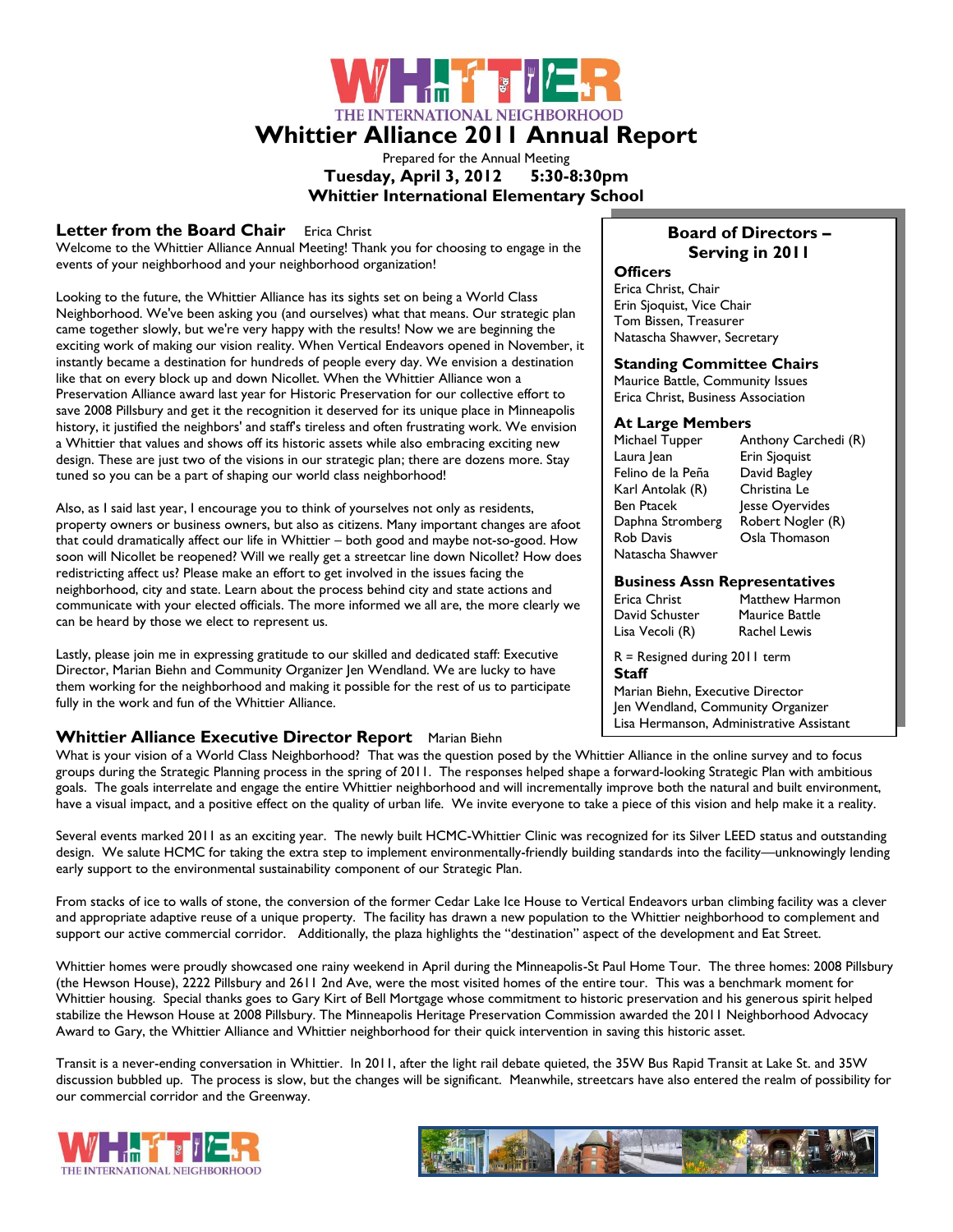▕▕▅▕<mark>▗▕▖</mark>▅▞▅▚<sub>▓</sub>▅▏▓▏▏ THE INTERNATIONAL NEIGHBORHOOD **Whittier Alliance 2011 Annual Report**

> Prepared for the Annual Meeting **Tuesday, April 3, 2012 5:30-8:30pm Whittier International Elementary School**

#### **Letter from the Board Chair Erica Christ**

Welcome to the Whittier Alliance Annual Meeting! Thank you for choosing to engage in the events of your neighborhood and your neighborhood organization!

Looking to the future, the Whittier Alliance has its sights set on being a World Class Neighborhood. We've been asking you (and ourselves) what that means. Our strategic plan came together slowly, but we're very happy with the results! Now we are beginning the exciting work of making our vision reality. When Vertical Endeavors opened in November, it instantly became a destination for hundreds of people every day. We envision a destination like that on every block up and down Nicollet. When the Whittier Alliance won a Preservation Alliance award last year for Historic Preservation for our collective effort to save 2008 Pillsbury and get it the recognition it deserved for its unique place in Minneapolis history, it justified the neighbors' and staff's tireless and often frustrating work. We envision a Whittier that values and shows off its historic assets while also embracing exciting new design. These are just two of the visions in our strategic plan; there are dozens more. Stay tuned so you can be a part of shaping our world class neighborhood!

Also, as I said last year, I encourage you to think of yourselves not only as residents, property owners or business owners, but also as citizens. Many important changes are afoot that could dramatically affect our life in Whittier – both good and maybe not-so-good. How soon will Nicollet be reopened? Will we really get a streetcar line down Nicollet? How does redistricting affect us? Please make an effort to get involved in the issues facing the neighborhood, city and state. Learn about the process behind city and state actions and communicate with your elected officials. The more informed we all are, the more clearly we can be heard by those we elect to represent us.

Lastly, please join me in expressing gratitude to our skilled and dedicated staff: Executive Director, Marian Biehn and Community Organizer Jen Wendland. We are lucky to have them working for the neighborhood and making it possible for the rest of us to participate fully in the work and fun of the Whittier Alliance.

#### **Whittier Alliance Executive Director Report** Marian Biehn

#### What is your vision of a World Class Neighborhood? That was the question posed by the Whittier Alliance in the online survey and to focus groups during the Strategic Planning process in the spring of 2011. The responses helped shape a forward-looking Strategic Plan with ambitious goals. The goals interrelate and engage the entire Whittier neighborhood and will incrementally improve both the natural and built environment, have a visual impact, and a positive effect on the quality of urban life. We invite everyone to take a piece of this vision and help make it a reality.

Several events marked 2011 as an exciting year. The newly built HCMC-Whittier Clinic was recognized for its Silver LEED status and outstanding design. We salute HCMC for taking the extra step to implement environmentally-friendly building standards into the facility—unknowingly lending early support to the environmental sustainability component of our Strategic Plan.

From stacks of ice to walls of stone, the conversion of the former Cedar Lake Ice House to Vertical Endeavors urban climbing facility was a clever and appropriate adaptive reuse of a unique property. The facility has drawn a new population to the Whittier neighborhood to complement and support our active commercial corridor. Additionally, the plaza highlights the "destination" aspect of the development and Eat Street.

Whittier homes were proudly showcased one rainy weekend in April during the Minneapolis-St Paul Home Tour. The three homes: 2008 Pillsbury (the Hewson House), 2222 Pillsbury and 2611 2nd Ave, were the most visited homes of the entire tour. This was a benchmark moment for Whittier housing. Special thanks goes to Gary Kirt of Bell Mortgage whose commitment to historic preservation and his generous spirit helped stabilize the Hewson House at 2008 Pillsbury. The Minneapolis Heritage Preservation Commission awarded the 2011 Neighborhood Advocacy Award to Gary, the Whittier Alliance and Whittier neighborhood for their quick intervention in saving this historic asset.

Transit is a never-ending conversation in Whittier. In 2011, after the light rail debate quieted, the 35W Bus Rapid Transit at Lake St. and 35W discussion bubbled up. The process is slow, but the changes will be significant. Meanwhile, streetcars have also entered the realm of possibility for our commercial corridor and the Greenway.





#### **Board of Directors – Serving in 2011**

#### **Officers**

Erica Christ, Chair Erin Sjoquist, Vice Chair Tom Bissen, Treasurer Natascha Shawver, Secretary

#### **Standing Committee Chairs**

Maurice Battle, Community Issues Erica Christ, Business Association

**At Large Members**  Anthony Carchedi (R) Laura Jean Erin Sjoquist Felino de la Peña Karl Antolak (R) Christina Le Ben Ptacek Jesse Oyervides<br>Daphna Stromberg Robert Nogler (R) Daphna Stromberg Rob Davis Osla Thomason Natascha Shawver

#### **Business Assn Representatives**

Erica Christ Matthew Harmon David Schuster Maurice Battle Lisa Vecoli (R) Rachel Lewis

R = Resigned during 2011 term **Staff** 

Marian Biehn, Executive Director Jen Wendland, Community Organizer Lisa Hermanson, Administrative Assistant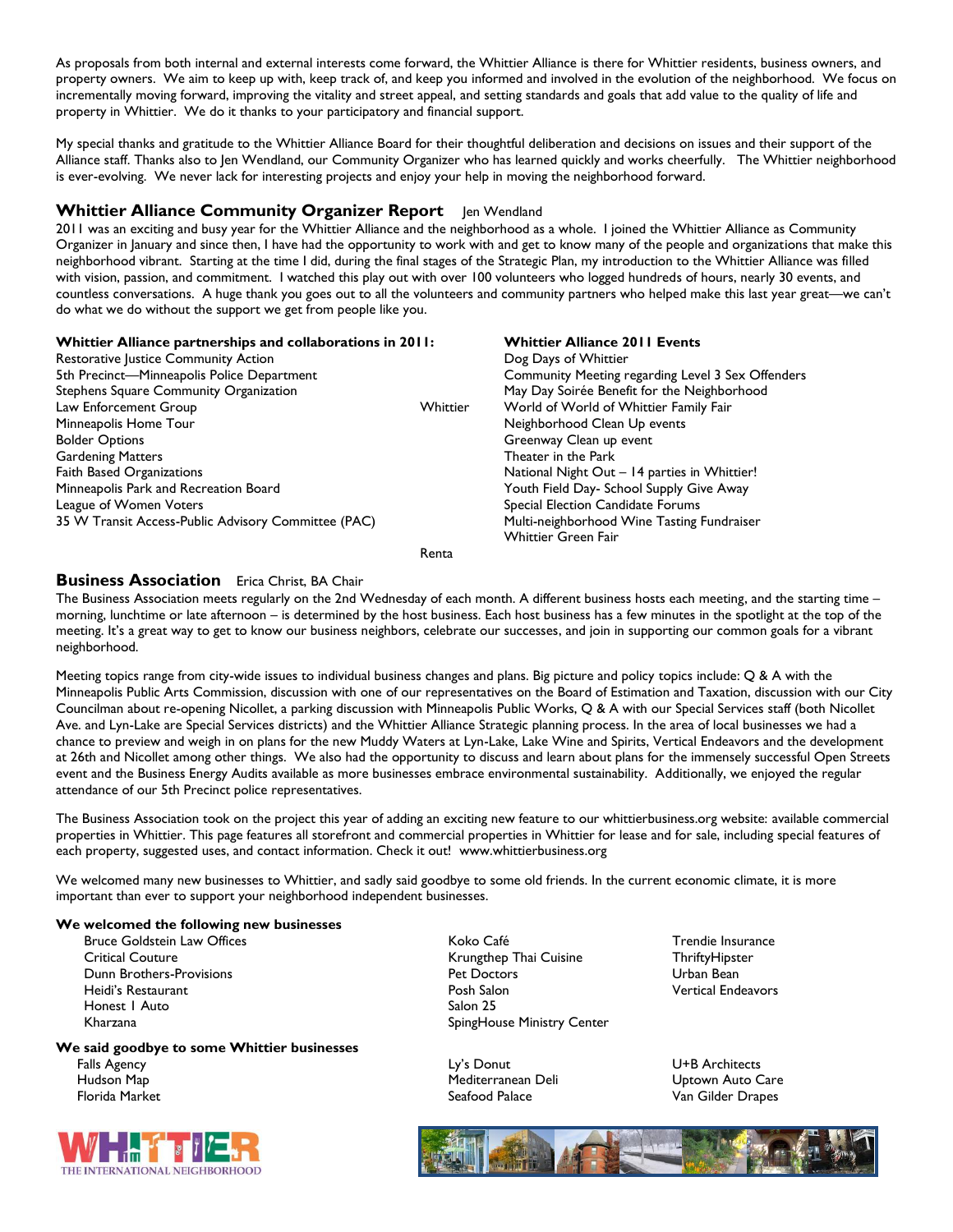As proposals from both internal and external interests come forward, the Whittier Alliance is there for Whittier residents, business owners, and property owners. We aim to keep up with, keep track of, and keep you informed and involved in the evolution of the neighborhood. We focus on incrementally moving forward, improving the vitality and street appeal, and setting standards and goals that add value to the quality of life and property in Whittier. We do it thanks to your participatory and financial support.

My special thanks and gratitude to the Whittier Alliance Board for their thoughtful deliberation and decisions on issues and their support of the Alliance staff. Thanks also to Jen Wendland, our Community Organizer who has learned quickly and works cheerfully. The Whittier neighborhood is ever-evolving. We never lack for interesting projects and enjoy your help in moving the neighborhood forward.

#### **Whittier Alliance Community Organizer Report** Jen Wendland

2011 was an exciting and busy year for the Whittier Alliance and the neighborhood as a whole. I joined the Whittier Alliance as Community Organizer in January and since then, I have had the opportunity to work with and get to know many of the people and organizations that make this neighborhood vibrant. Starting at the time I did, during the final stages of the Strategic Plan, my introduction to the Whittier Alliance was filled with vision, passion, and commitment. I watched this play out with over 100 volunteers who logged hundreds of hours, nearly 30 events, and countless conversations. A huge thank you goes out to all the volunteers and community partners who helped make this last year great—we can't do what we do without the support we get from people like you.

#### **Whittier Alliance partnerships and collaborations in 2011:**  Restorative Justice Community Action 5th Precinct—Minneapolis Police Department Stephens Square Community Organization Law Enforcement Group Minneapolis Home Tour Bolder Options Gardening Matters Faith Based Organizations Minneapolis Park and Recreation Board League of Women Voters 35 W Transit Access-Public Advisory Committee (PAC) **Whittier Alliance 2011 Events** Dog Days of Whittier Community Meeting regarding Level 3 Sex Offenders May Day Soirée Benefit for the Neighborhood Whittier World of World of Whittier Family Fair Neighborhood Clean Up events Greenway Clean up event Theater in the Park National Night Out – 14 parties in Whittier! Youth Field Day- School Supply Give Away Special Election Candidate Forums Multi-neighborhood Wine Tasting Fundraiser Whittier Green Fair Renta

#### **Business Association** Erica Christ, BA Chair

The Business Association meets regularly on the 2nd Wednesday of each month. A different business hosts each meeting, and the starting time morning, lunchtime or late afternoon – is determined by the host business. Each host business has a few minutes in the spotlight at the top of the meeting. It's a great way to get to know our business neighbors, celebrate our successes, and join in supporting our common goals for a vibrant neighborhood.

Meeting topics range from city-wide issues to individual business changes and plans. Big picture and policy topics include: Q & A with the Minneapolis Public Arts Commission, discussion with one of our representatives on the Board of Estimation and Taxation, discussion with our City Councilman about re-opening Nicollet, a parking discussion with Minneapolis Public Works, Q & A with our Special Services staff (both Nicollet Ave. and Lyn-Lake are Special Services districts) and the Whittier Alliance Strategic planning process. In the area of local businesses we had a chance to preview and weigh in on plans for the new Muddy Waters at Lyn-Lake, Lake Wine and Spirits, Vertical Endeavors and the development at 26th and Nicollet among other things. We also had the opportunity to discuss and learn about plans for the immensely successful Open Streets event and the Business Energy Audits available as more businesses embrace environmental sustainability. Additionally, we enjoyed the regular attendance of our 5th Precinct police representatives.

The Business Association took on the project this year of adding an exciting new feature to our whittierbusiness.org website: available commercial properties in Whittier. This page features all storefront and commercial properties in Whittier for lease and for sale, including special features of each property, suggested uses, and contact information. Check it out! www.whittierbusiness.org

We welcomed many new businesses to Whittier, and sadly said goodbye to some old friends. In the current economic climate, it is more important than ever to support your neighborhood independent businesses.

#### **We welcomed the following new businesses**

Honest 1 Auto Salon 25

#### **We said goodbye to some Whittier businesses**



Bruce Goldstein Law Offices Trendie Insurance Colores Koko Café Trendie Insurance Critical Couture **Critical Couture** Critical Couture **Krungthep Thai Cuisine** ThriftyHipster Dunn Brothers-Provisions Pet Doctors Urban Bean Heidi's Restaurant Posh Salon Vertical Endeavors Kharzana **SpingHouse Ministry Center** 

Falls Agency Ly's Donut U+B Architects Hudson Map Mediterranean Deli Uptown Auto Care

Florida Market Seafood Palace Van Gilder Drapes

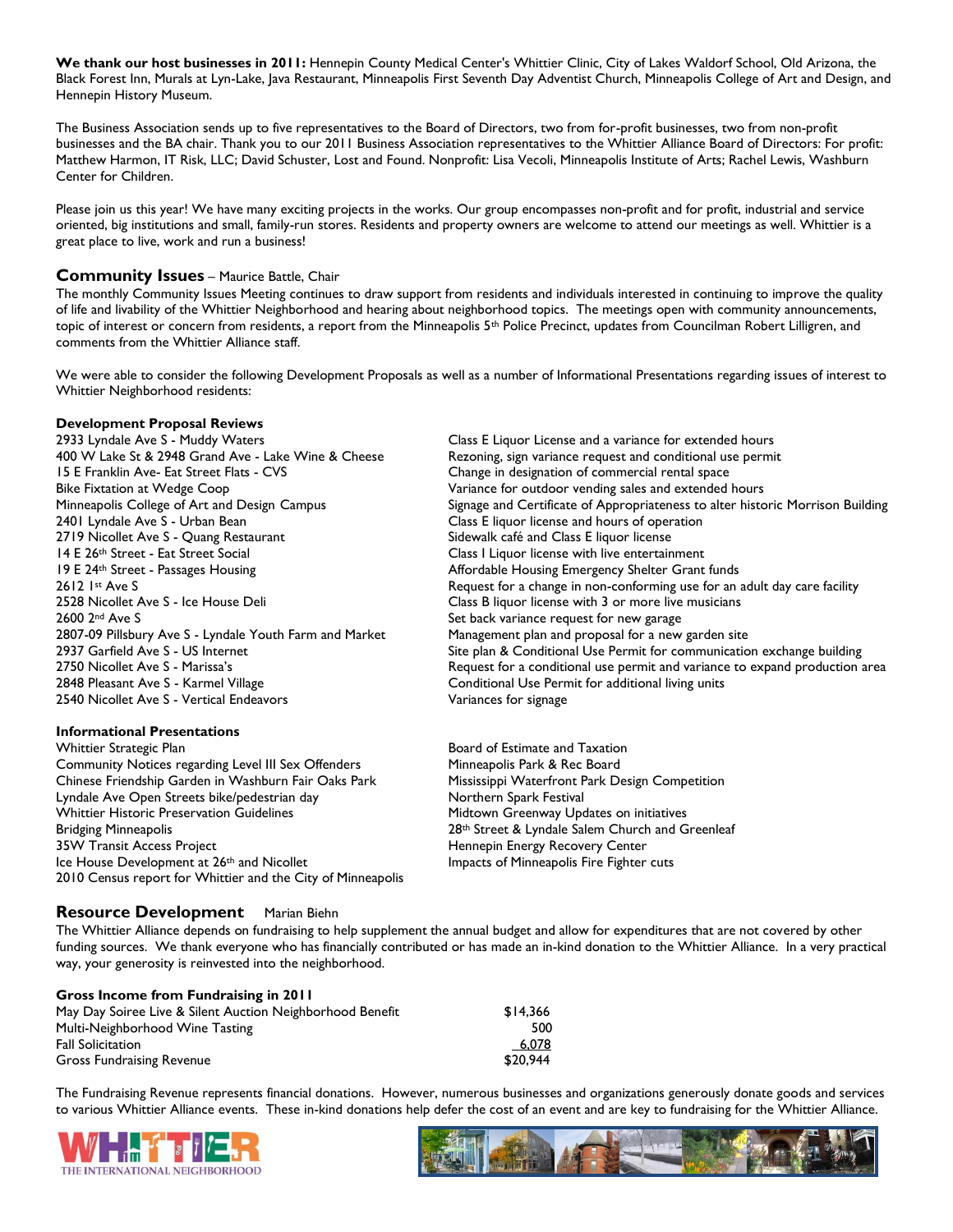We thank our host businesses in 2011: Hennepin County Medical Center's Whittier Clinic, City of Lakes Waldorf School, Old Arizona, the Black Forest Inn, Murals at Lyn-Lake, Java Restaurant, Minneapolis First Seventh Day Adventist Church, Minneapolis College of Art and Design, and Hennepin History Museum.

The Business Association sends up to five representatives to the Board of Directors, two from for-profit businesses, two from non-profit businesses and the BA chair. Thank you to our 2011 Business Association representatives to the Whittier Alliance Board of Directors: For profit: Matthew Harmon, IT Risk, LLC; David Schuster, Lost and Found. Nonprofit: Lisa Vecoli, Minneapolis Institute of Arts; Rachel Lewis, Washburn Center for Children.

Please join us this year! We have many exciting projects in the works. Our group encompasses non-profit and for profit, industrial and service oriented, big institutions and small, family-run stores. Residents and property owners are welcome to attend our meetings as well. Whittier is a great place to live, work and run a business!

#### **Community Issues** – Maurice Battle, Chair

The monthly Community Issues Meeting continues to draw support from residents and individuals interested in continuing to improve the quality of life and livability of the Whittier Neighborhood and hearing about neighborhood topics. The meetings open with community announcements, topic of interest or concern from residents, a report from the Minneapolis 5<sup>th</sup> Police Precinct, updates from Councilman Robert Lilligren, and comments from the Whittier Alliance staff.

We were able to consider the following Development Proposals as well as a number of Informational Presentations regarding issues of interest to Whittier Neighborhood residents:

#### **Development Proposal Reviews**

2933 Lyndale Ave S - Muddy Waters Class E Liquor License and a variance for extended hours 400 W Lake St & 2948 Grand Ave - Lake Wine & Cheese Rezoning, sign variance request and conditional use permit 15 E Franklin Ave- Eat Street Flats - CVS Change in designation of commercial rental space Bike Fixtation at Wedge Coop Variance for outdoor vending sales and extended hours 2401 Lyndale Ave S - Urban Bean Class E liquor license and hours of operation 2719 Nicollet Ave S - Quang Restaurant Sidewalk café and Class E liquor license 14 E 26<sup>th</sup> Street - Eat Street Social Class I Liquor license with live entertainment 19 E 24<sup>th</sup> Street - Passages Housing **Affordable Housing Emergency Shelter Grant funds** 2600 2<sup>nd</sup> Ave S Set back variance request for new garage 2807-09 Pillsbury Ave S - Lyndale Youth Farm and Market Management plan and proposal for a new garden site 2848 Pleasant Ave S - Karmel Village Conditional Use Permit for additional living units 2540 Nicollet Ave S - Vertical Endeavors **Variances** for signage

#### **Informational Presentations**

Whittier Strategic Plan Board of Estimate and Taxation Community Notices regarding Level III Sex Offenders Minneapolis Park & Rec Board Chinese Friendship Garden in Washburn Fair Oaks Park Mississippi Waterfront Park Design Competition Lyndale Ave Open Streets bike/pedestrian day Northern Spark Festival Whittier Historic Preservation Guidelines Midtown Greenway Updates on initiatives Bridging Minneapolis 28th Street & Lyndale Salem Church and Greenleaf 35W Transit Access Project **Hennepin Energy Recovery Center** Ice House Development at 26<sup>th</sup> and Nicollet **Impacts of Minneapolis Fire Fighter cuts** 2010 Census report for Whittier and the City of Minneapolis

# Minneapolis College of Art and Design Campus Signage and Certificate of Appropriateness to alter historic Morrison Building 2612 1st Ave S<br>2528 Nicollet Ave S - Ice House Deli<br>2528 Nicollet Ave S - Ice House Deli<br>2528 Nicollet Ave S - Ice House Deli Class B liquor license with 3 or more live musicians 2937 Garfield Ave S - US Internet Site plan & Conditional Use Permit for communication exchange building 2750 Nicollet Ave S - Marissa's Request for a conditional use permit and variance to expand production area

### **Resource Development** Marian Biehn

The Whittier Alliance depends on fundraising to help supplement the annual budget and allow for expenditures that are not covered by other funding sources. We thank everyone who has financially contributed or has made an in-kind donation to the Whittier Alliance. In a very practical way, your generosity is reinvested into the neighborhood.

| <b>Gross Income from Fundraising in 2011</b>              |          |
|-----------------------------------------------------------|----------|
| May Day Soiree Live & Silent Auction Neighborhood Benefit | \$14.366 |
| Multi-Neighborhood Wine Tasting                           | 500      |
| <b>Fall Solicitation</b>                                  | 6,078    |
| <b>Gross Fundraising Revenue</b>                          | \$20.944 |

The Fundraising Revenue represents financial donations. However, numerous businesses and organizations generously donate goods and services to various Whittier Alliance events. These in-kind donations help defer the cost of an event and are key to fundraising for the Whittier Alliance.



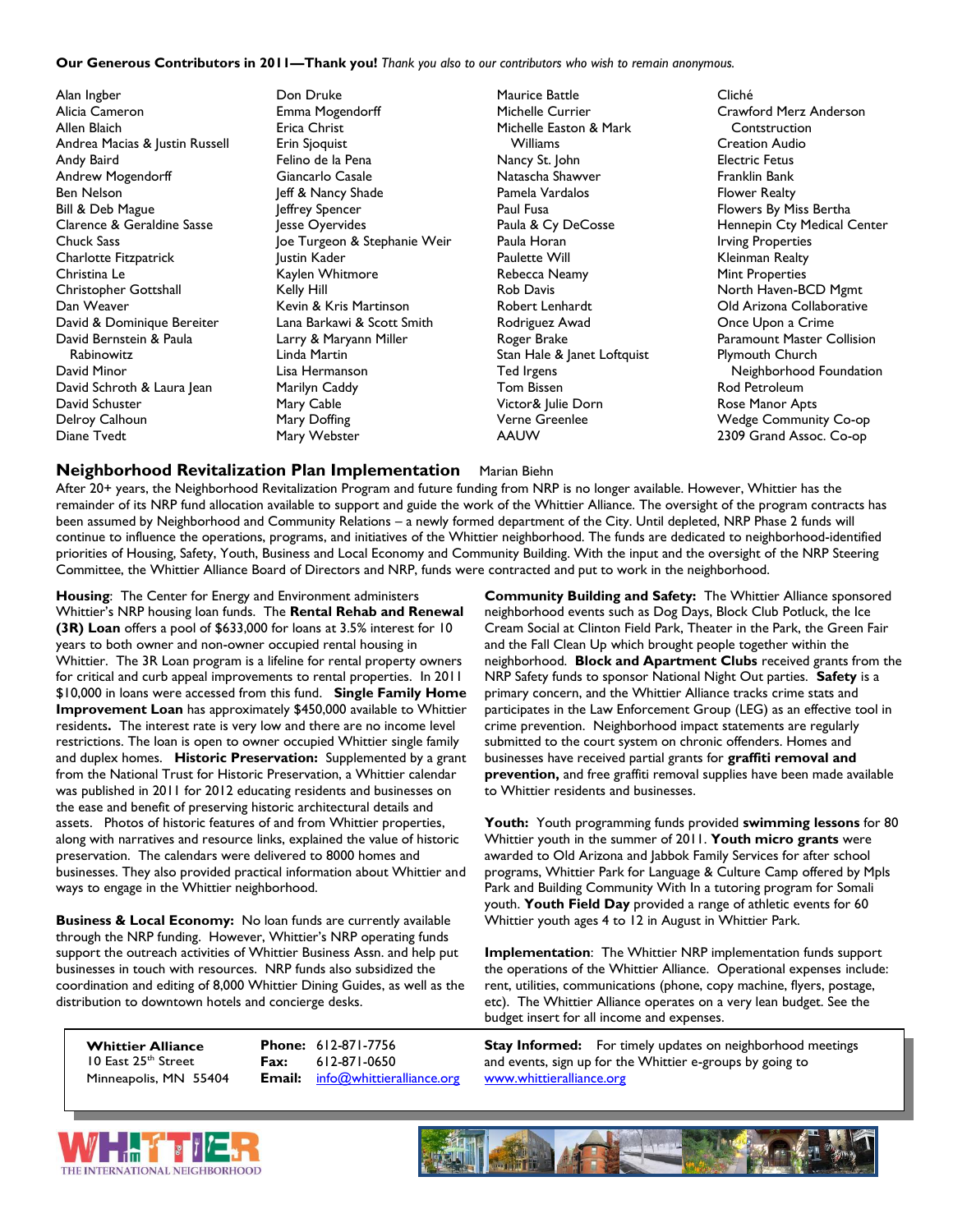#### **Our Generous Contributors in 2011—Thank you!** *Thank you also to our contributors who wish to remain anonymous.*

Alan Ingber Alicia Cameron Allen Blaich Andrea Macias & Justin Russell Andy Baird Andrew Mogendorff Ben Nelson Bill & Deb Mague Clarence & Geraldine Sasse Chuck Sass Charlotte Fitzpatrick Christina Le Christopher Gottshall Dan Weaver David & Dominique Bereiter David Bernstein & Paula Rabinowitz David Minor David Schroth & Laura Jean David Schuster Delroy Calhoun Diane Tvedt

Don Druke Emma Mogendorff Erica Christ Erin Sjoquist Felino de la Pena Giancarlo Casale Jeff & Nancy Shade Jeffrey Spencer Jesse Oyervides Joe Turgeon & Stephanie Weir Justin Kader Kaylen Whitmore Kelly Hill Kevin & Kris Martinson Lana Barkawi & Scott Smith Larry & Maryann Miller Linda Martin Lisa Hermanson Marilyn Caddy Mary Cable Mary Doffing Mary Webster

Maurice Battle Michelle Currier Michelle Easton & Mark Williams Nancy St. John Natascha Shawver Pamela Vardalos Paul Fusa Paula & Cy DeCosse Paula Horan Paulette Will Rebecca Neamy Rob Davis Robert Lenhardt Rodriguez Awad Roger Brake Stan Hale & Janet Loftquist Ted Irgens Tom Bissen Victor& Julie Dorn Verne Greenlee AAUW

Cliché Crawford Merz Anderson Contstruction Creation Audio Electric Fetus Franklin Bank Flower Realty Flowers By Miss Bertha Hennepin Cty Medical Center Irving Properties Kleinman Realty Mint Properties North Haven-BCD Mgmt Old Arizona Collaborative Once Upon a Crime Paramount Master Collision Plymouth Church Neighborhood Foundation Rod Petroleum Rose Manor Apts Wedge Community Co-op 2309 Grand Assoc. Co-op

#### **Neighborhood Revitalization Plan Implementation** Marian Biehn

After 20+ years, the Neighborhood Revitalization Program and future funding from NRP is no longer available. However, Whittier has the remainder of its NRP fund allocation available to support and guide the work of the Whittier Alliance. The oversight of the program contracts has been assumed by Neighborhood and Community Relations – a newly formed department of the City. Until depleted, NRP Phase 2 funds will continue to influence the operations, programs, and initiatives of the Whittier neighborhood. The funds are dedicated to neighborhood-identified priorities of Housing, Safety, Youth, Business and Local Economy and Community Building. With the input and the oversight of the NRP Steering Committee, the Whittier Alliance Board of Directors and NRP, funds were contracted and put to work in the neighborhood.

**Housing**: The Center for Energy and Environment administers Whittier's NRP housing loan funds. The **Rental Rehab and Renewal (3R) Loan** offers a pool of \$633,000 for loans at 3.5% interest for 10 years to both owner and non-owner occupied rental housing in Whittier. The 3R Loan program is a lifeline for rental property owners for critical and curb appeal improvements to rental properties. In 2011 \$10,000 in loans were accessed from this fund. **Single Family Home Improvement Loan** has approximately \$450,000 available to Whittier residents**.** The interest rate is very low and there are no income level restrictions. The loan is open to owner occupied Whittier single family and duplex homes. **Historic Preservation:** Supplemented by a grant from the National Trust for Historic Preservation, a Whittier calendar was published in 2011 for 2012 educating residents and businesses on the ease and benefit of preserving historic architectural details and assets. Photos of historic features of and from Whittier properties, along with narratives and resource links, explained the value of historic preservation. The calendars were delivered to 8000 homes and businesses. They also provided practical information about Whittier and ways to engage in the Whittier neighborhood.

**Business & Local Economy:** No loan funds are currently available through the NRP funding. However, Whittier's NRP operating funds support the outreach activities of Whittier Business Assn. and help put businesses in touch with resources. NRP funds also subsidized the coordination and editing of 8,000 Whittier Dining Guides, as well as the distribution to downtown hotels and concierge desks.

**Whittier Alliance** 10 East 25<sup>th</sup> Street Minneapolis, MN 55404 **Email:** [info@whittieralliance.org](mailto:info@whittieralliance.org) [www.whittieralliance.org](http://www.whittieralliance.org/)

**Community Building and Safety:** The Whittier Alliance sponsored neighborhood events such as Dog Days, Block Club Potluck, the Ice Cream Social at Clinton Field Park, Theater in the Park, the Green Fair and the Fall Clean Up which brought people together within the neighborhood. **Block and Apartment Clubs** received grants from the NRP Safety funds to sponsor National Night Out parties. **Safety** is a primary concern, and the Whittier Alliance tracks crime stats and participates in the Law Enforcement Group (LEG) as an effective tool in crime prevention. Neighborhood impact statements are regularly submitted to the court system on chronic offenders. Homes and businesses have received partial grants for **graffiti removal and prevention,** and free graffiti removal supplies have been made available to Whittier residents and businesses.

**Youth:** Youth programming funds provided **swimming lessons** for 80 Whittier youth in the summer of 2011. **Youth micro grants** were awarded to Old Arizona and Jabbok Family Services for after school programs, Whittier Park for Language & Culture Camp offered by Mpls Park and Building Community With In a tutoring program for Somali youth. **Youth Field Day** provided a range of athletic events for 60 Whittier youth ages 4 to 12 in August in Whittier Park.

**Implementation**: The Whittier NRP implementation funds support the operations of the Whittier Alliance. Operational expenses include: rent, utilities, communications (phone, copy machine, flyers, postage, etc). The Whittier Alliance operates on a very lean budget. See the budget insert for all income and expenses.

**Phone:** 612-871-7756 **Stay Informed:** For timely updates on neighborhood meetings **Fax:** 612-871-0650 and events, sign up for the Whittier e-groups by going to



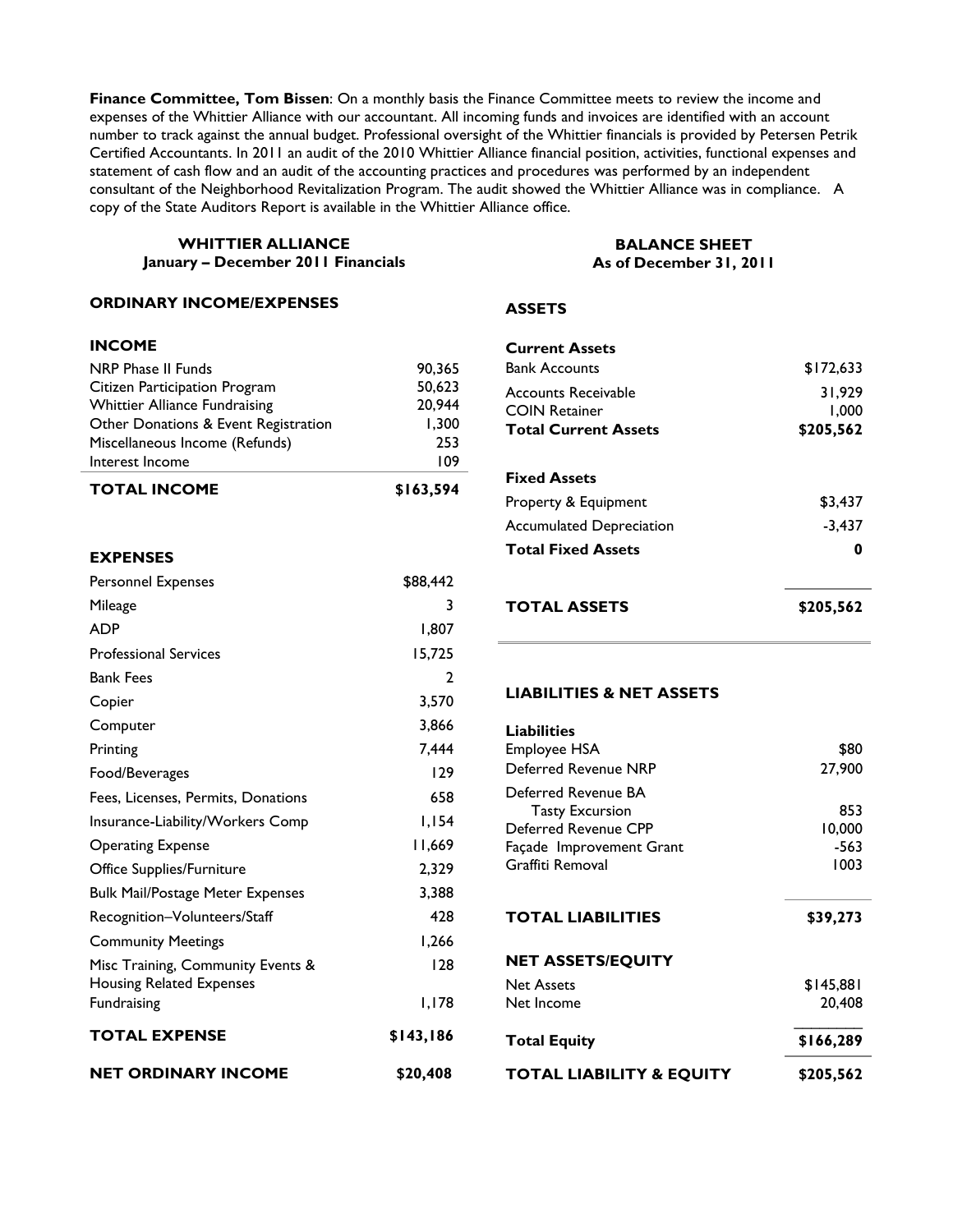**Finance Committee, Tom Bissen**: On a monthly basis the Finance Committee meets to review the income and expenses of the Whittier Alliance with our accountant. All incoming funds and invoices are identified with an account number to track against the annual budget. Professional oversight of the Whittier financials is provided by Petersen Petrik Certified Accountants. In 2011 an audit of the 2010 Whittier Alliance financial position, activities, functional expenses and statement of cash flow and an audit of the accounting practices and procedures was performed by an independent consultant of the Neighborhood Revitalization Program. The audit showed the Whittier Alliance was in compliance. A copy of the State Auditors Report is available in the Whittier Alliance office.

#### **WHITTIER ALLIANCE January – December 2011 Financials**

#### **ORDINARY INCOME/EXPENSES**

#### **INCOME**

| <b>TOTAL INCOME</b>                  | \$163,594 |
|--------------------------------------|-----------|
| Interest Income                      | 109       |
| Miscellaneous Income (Refunds)       | 253       |
| Other Donations & Event Registration | 1.300     |
| <b>Whittier Alliance Fundraising</b> | 20,944    |
| Citizen Participation Program        | 50.623    |
| NRP Phase II Funds                   | 90.365    |

#### **EXPENSES**

| Personnel Expenses                                                   | \$88,442       |
|----------------------------------------------------------------------|----------------|
| Mileage                                                              | 3              |
| <b>ADP</b>                                                           | 1.807          |
| <b>Professional Services</b>                                         | 15,725         |
| <b>Bank Fees</b>                                                     | $\overline{2}$ |
| Copier                                                               | 3,570          |
| Computer                                                             | 3.866          |
| Printing                                                             | 7,444          |
| Food/Beverages                                                       | 129            |
| Fees, Licenses, Permits, Donations                                   | 658            |
| Insurance-Liability/Workers Comp                                     | 1.154          |
| <b>Operating Expense</b>                                             | 11.669         |
| Office Supplies/Furniture                                            | 2,329          |
| <b>Bulk Mail/Postage Meter Expenses</b>                              | 3,388          |
| Recognition-Volunteers/Staff                                         | 428            |
| <b>Community Meetings</b>                                            | 1,266          |
| Misc Training, Community Events &<br><b>Housing Related Expenses</b> | 128            |
| Fundraising                                                          | I.I78          |
| <b>TOTAL EXPENSE</b>                                                 | \$143,186      |
| <b>NET ORDINARY INCOME</b>                                           | \$20,408       |

#### **BALANCE SHEET As of December 31, 2011**

#### **ASSETS**

| <b>Current Assets</b><br><b>Bank Accounts</b>                                     | \$172,633                    |
|-----------------------------------------------------------------------------------|------------------------------|
| <b>Accounts Receivable</b><br><b>COIN Retainer</b><br><b>Total Current Assets</b> | 31,929<br>1,000<br>\$205,562 |
| <b>Fixed Assets</b>                                                               |                              |
| Property & Equipment                                                              | \$3,437                      |
| <b>Accumulated Depreciation</b>                                                   | $-3.437$                     |
| <b>Total Fixed Assets</b>                                                         | Ω                            |
| TOTAL ASSETS                                                                      | \$205,562                    |

#### **LIABILITIES & NET ASSETS**

| <b>Liabilities</b>       |           |
|--------------------------|-----------|
| Employee HSA             | \$80      |
| Deferred Revenue NRP     | 27,900    |
| Deferred Revenue BA      |           |
| <b>Tasty Excursion</b>   | 853       |
| Deferred Revenue CPP     | 10,000    |
| Façade Improvement Grant | -563      |
| Graffiti Removal         | 1003      |
|                          |           |
|                          |           |
| <b>TOTAL LIABILITIES</b> | \$39,273  |
| <b>NET ASSETS/EQUITY</b> |           |
| <b>Net Assets</b>        | \$145,881 |
| Net Income               | 20.408    |
| <b>Total Equity</b>      | \$166,289 |